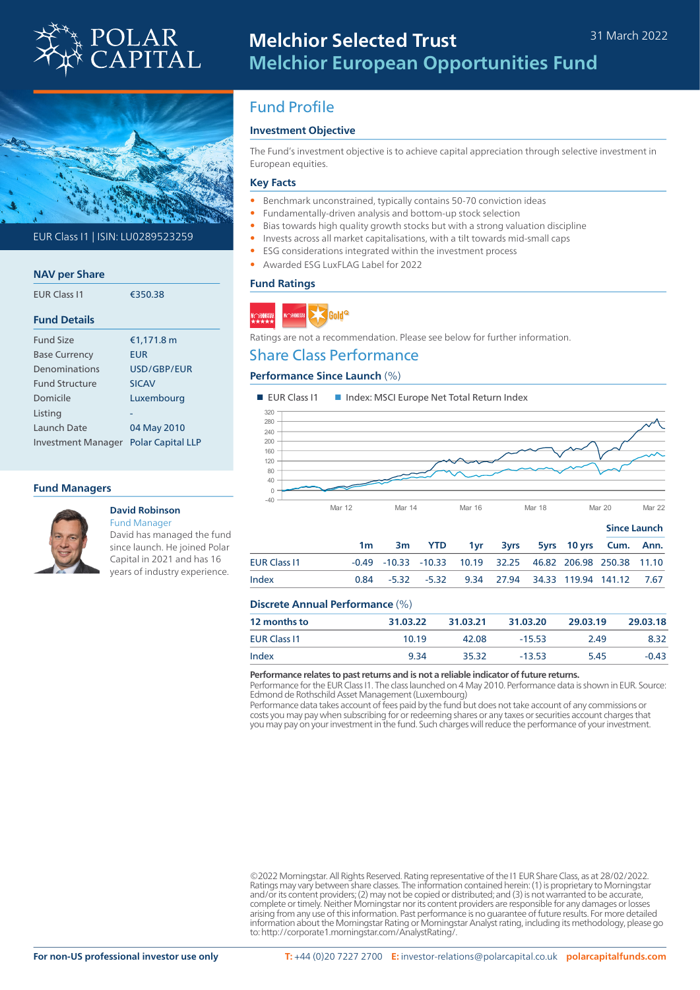



### EUR Class I1 | ISIN: LU0289523259

| <b>NAV per Share</b>  |                          |
|-----------------------|--------------------------|
| <b>FUR Class 11</b>   | €350.38                  |
| <b>Fund Details</b>   |                          |
| <b>Fund Size</b>      | €1,171.8 m               |
| <b>Base Currency</b>  | <b>EUR</b>               |
| Denominations         | USD/GBP/FUR              |
| <b>Fund Structure</b> | <b>SICAV</b>             |
| Domicile              | Luxembourg               |
| Listing               |                          |
| Launch Date           | 04 May 2010              |
| Investment Manager    | <b>Polar Capital LLP</b> |

### **Fund Managers**



#### **David Robinson** Fund Manager

David has managed the fund since launch. He joined Polar Capital in 2021 and has 16 years of industry experience.

# Fund Profile

### **Investment Objective**

The Fund's investment objective is to achieve capital appreciation through selective investment in European equities.

#### **Key Facts**

- Benchmark unconstrained, typically contains 50-70 conviction ideas
- Fundamentally-driven analysis and bottom-up stock selection
- Bias towards high quality growth stocks but with a strong valuation discipline
- Invests across all market capitalisations, with a tilt towards mid-small caps
- ESG considerations integrated within the investment process
- Awarded ESG LuxFLAG Label for 2022

#### **Fund Ratings**



Ratings are not a recommendation. Please see below for further information.

### Share Class Performance

### **Performance Since Launch** (%)



|                     |                |                                                           |  |  | <b>Since Launch</b>            |  |
|---------------------|----------------|-----------------------------------------------------------|--|--|--------------------------------|--|
|                     | 1 <sub>m</sub> | 3m YTD                                                    |  |  | 1yr 3yrs 5yrs 10 yrs Cum. Ann. |  |
| <b>EUR Class 11</b> |                | -0.49 -10.33 -10.33 10.19 32.25 46.82 206.98 250.38 11.10 |  |  |                                |  |
| Index               |                | 0.84 -5.32 -5.32 9.34 27.94 34.33 119.94 141.12 7.67      |  |  |                                |  |
|                     |                |                                                           |  |  |                                |  |

### **Discrete Annual Performance** (%)

| 12 months to        | 31.03.22 | 31.03.21 | 31.03.20 | 29.03.19 | 29.03.18 |
|---------------------|----------|----------|----------|----------|----------|
| <b>EUR Class 11</b> | 10.19    | 42.08    | $-15.53$ | 2.49     | 8.32     |
| Index               | 9.34     | 35.32    | $-13.53$ | 5.45     | $-0.43$  |

**Performance relates to past returns and is not a reliable indicator of future returns.**

Performance for the EUR Class I1. The class launched on 4 May 2010. Performance data is shown in EUR. Source: Edmond de Rothschild Asset Management (Luxembourg)

Performance data takes account of fees paid by the fund but does not take account of any commissions or costs you may pay when subscribing for or redeeming shares or any taxes or securities account charges that you may pay on your investment in the fund. Such charges will reduce the performance of your investment.

©2022 Morningstar. All Rights Reserved. Rating representative of the I1 EUR Share Class, as at 28/02/2022. Ratings may vary between share classes. The information contained herein: (1) is proprietary to Morningstar and/or its content providers; (2) may not be copied or distributed; and (3) is not warranted to be accurate, complete or timely. Neither Morningstar nor its content providers are responsible for any damages or losses arising from any use of this information. Past performance is no guarantee of future results. For more detailed information about the Morningstar Rating or Morningstar Analyst rating, including its methodology, please go to: http://corporate1.morningstar.com/AnalystRating/.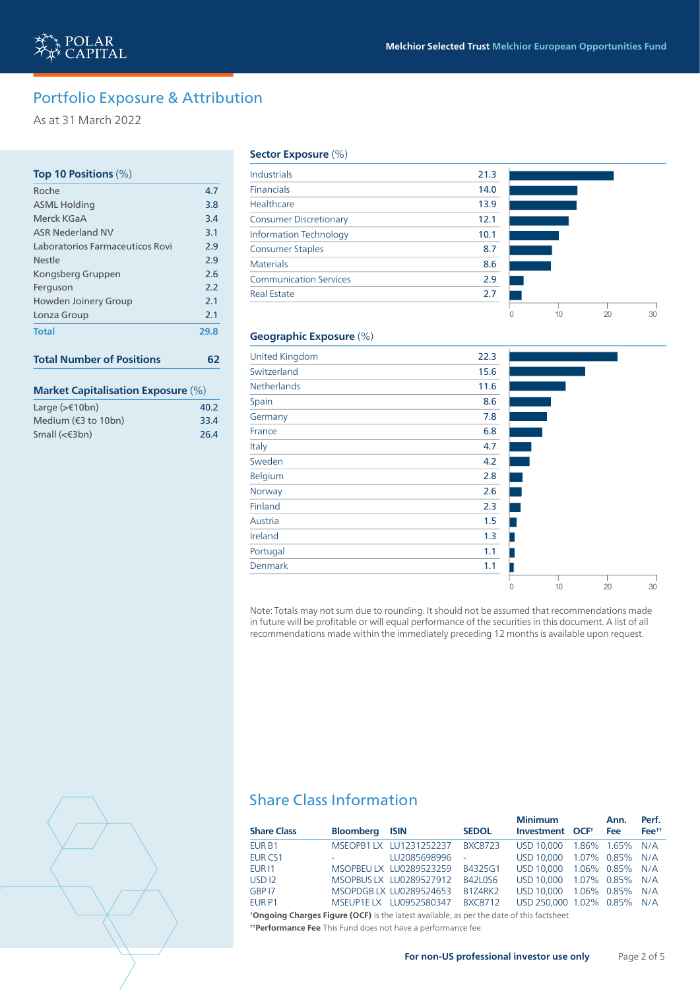0 10 20 30

# Portfolio Exposure & Attribution

As at 31 March 2022

## **Top 10 Positions** (%) Roche 4.7 ASML Holding 3.8 Merck KGaA 3.4 ASR Nederland NV 3.1 Laboratorios Farmaceuticos Rovi 2.9 Nestle 2.9 Kongsberg Gruppen 2.6 Ferguson 2.2 Howden Joinery Group 2.1 Lonza Group 2.1 **Total 29.8**

# **Total Number of Positions 62**

### **Market Capitalisation Exposure** (%)

| Large $(>\epsilon$ 10bn)               | 40.2 |
|----------------------------------------|------|
| Medium $(63 \text{ to } 10 \text{bn})$ | 33.4 |
| Small $(€3bn)$                         | 26.4 |

#### **Sector Exposure** (%)

| Industrials                   | 21.3 |
|-------------------------------|------|
| <b>Financials</b>             | 14.0 |
| Healthcare                    | 13.9 |
| <b>Consumer Discretionary</b> | 12.1 |
| <b>Information Technology</b> | 10.1 |
| <b>Consumer Staples</b>       | 8.7  |
| <b>Materials</b>              | 8.6  |
| <b>Communication Services</b> | 2.9  |
| <b>Real Estate</b>            | 2.7  |
|                               |      |

### **Geographic Exposure** (%)

| <b>United Kingdom</b> | 22.3 |   |    |    |    |
|-----------------------|------|---|----|----|----|
| Switzerland           | 15.6 |   |    |    |    |
| Netherlands           | 11.6 |   |    |    |    |
| Spain                 | 8.6  |   |    |    |    |
| Germany               | 7.8  |   |    |    |    |
| France                | 6.8  |   |    |    |    |
| Italy                 | 4.7  |   |    |    |    |
| Sweden                | 4.2  |   |    |    |    |
| Belgium               | 2.8  |   |    |    |    |
| Norway                | 2.6  |   |    |    |    |
| Finland               | 2.3  |   |    |    |    |
| Austria               | 1.5  |   |    |    |    |
| Ireland               | 1.3  |   |    |    |    |
| Portugal              | 1.1  |   |    |    |    |
| Denmark               | 1.1  |   |    |    |    |
|                       |      | 0 | 10 | 20 | 30 |

Note: Totals may not sum due to rounding. It should not be assumed that recommendations made in future will be profitable or will equal performance of the securities in this document. A list of all recommendations made within the immediately preceding 12 months is available upon request.



# Share Class Information

|                    |                         |                         |                | <b>Minimum</b>              | Ann.            | Perf.             |
|--------------------|-------------------------|-------------------------|----------------|-----------------------------|-----------------|-------------------|
| <b>Share Class</b> | <b>Bloomberg ISIN</b>   |                         | <b>SEDOL</b>   | Investment OCF <sup>+</sup> | Fee             | Fee <sup>tt</sup> |
| EUR B1             |                         | MSEOPB1 LX LU1231252237 | <b>BXC8723</b> | USD 10,000                  | 1.86% 1.65% N/A |                   |
| EUR <sub>CS1</sub> | <b>Service Contract</b> | LU2085698996            | $\sim$         | USD 10,000 1.07% 0.85% N/A  |                 |                   |
| EUR <sub>11</sub>  |                         | MSOPBEU LX LU0289523259 | B4325G1        | <b>USD 10.000</b>           | 1.06% 0.85% N/A |                   |
| USD <sub>12</sub>  |                         | MSOPBUS LX LU0289527912 | B42L0S6        | USD 10.000 1.07% 0.85% N/A  |                 |                   |
| GBP 17             |                         | MSOPDGBLX LU0289524653  | <b>B1Z4RK2</b> | USD 10,000 1.06% 0.85% N/A  |                 |                   |
| EUR <sub>P1</sub>  |                         | MSEUP1E LX LU0952580347 | <b>BXC8712</b> | USD 250,000 1.02% 0.85% N/A |                 |                   |

**† Ongoing Charges Figure (OCF)** is the latest available, as per the date of this factsheet **† † Performance Fee** This Fund does not have a performance fee.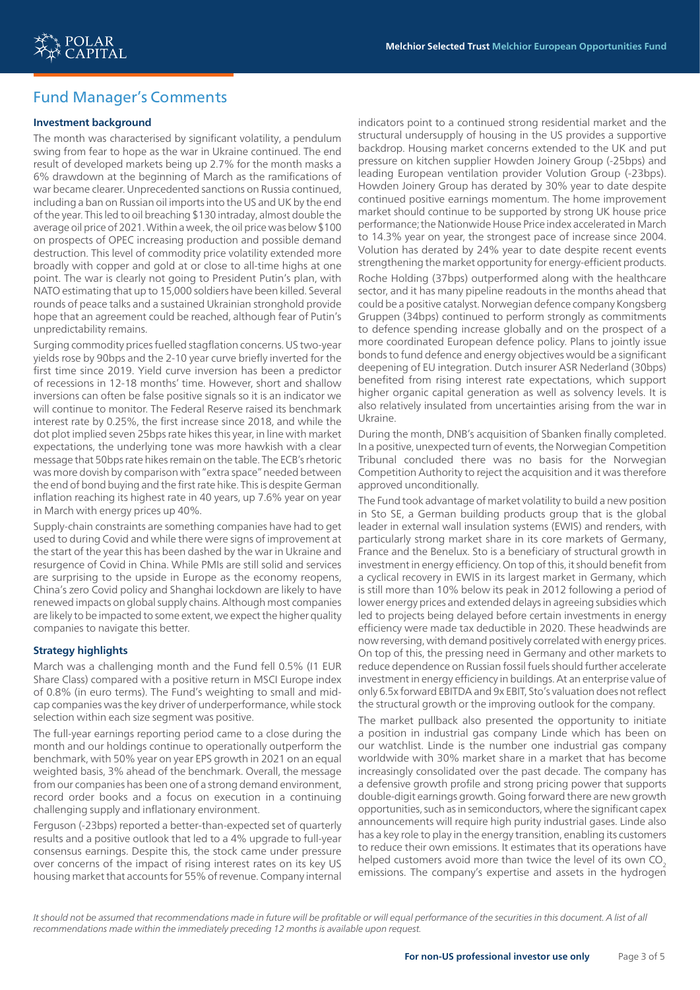## Fund Manager's Comments

### **Investment background**

The month was characterised by significant volatility, a pendulum swing from fear to hope as the war in Ukraine continued. The end result of developed markets being up 2.7% for the month masks a 6% drawdown at the beginning of March as the ramifications of war became clearer. Unprecedented sanctions on Russia continued, including a ban on Russian oil imports into the US and UK by the end of the year. This led to oil breaching \$130 intraday, almost double the average oil price of 2021. Within a week, the oil price was below \$100 on prospects of OPEC increasing production and possible demand destruction. This level of commodity price volatility extended more broadly with copper and gold at or close to all-time highs at one point. The war is clearly not going to President Putin's plan, with NATO estimating that up to 15,000 soldiers have been killed. Several rounds of peace talks and a sustained Ukrainian stronghold provide hope that an agreement could be reached, although fear of Putin's unpredictability remains.

Surging commodity prices fuelled stagflation concerns. US two-year yields rose by 90bps and the 2-10 year curve briefly inverted for the first time since 2019. Yield curve inversion has been a predictor of recessions in 12-18 months' time. However, short and shallow inversions can often be false positive signals so it is an indicator we will continue to monitor. The Federal Reserve raised its benchmark interest rate by 0.25%, the first increase since 2018, and while the dot plot implied seven 25bps rate hikes this year, in line with market expectations, the underlying tone was more hawkish with a clear message that 50bps rate hikes remain on the table. The ECB's rhetoric was more dovish by comparison with "extra space" needed between the end of bond buying and the first rate hike. This is despite German inflation reaching its highest rate in 40 years, up 7.6% year on year in March with energy prices up 40%.

Supply-chain constraints are something companies have had to get used to during Covid and while there were signs of improvement at the start of the year this has been dashed by the war in Ukraine and resurgence of Covid in China. While PMIs are still solid and services are surprising to the upside in Europe as the economy reopens, China's zero Covid policy and Shanghai lockdown are likely to have renewed impacts on global supply chains. Although most companies are likely to be impacted to some extent, we expect the higher quality companies to navigate this better.

### **Strategy highlights**

March was a challenging month and the Fund fell 0.5% (I1 EUR Share Class) compared with a positive return in MSCI Europe index of 0.8% (in euro terms). The Fund's weighting to small and midcap companies was the key driver of underperformance, while stock selection within each size segment was positive.

The full-year earnings reporting period came to a close during the month and our holdings continue to operationally outperform the benchmark, with 50% year on year EPS growth in 2021 on an equal weighted basis, 3% ahead of the benchmark. Overall, the message from our companies has been one of a strong demand environment, record order books and a focus on execution in a continuing challenging supply and inflationary environment.

Ferguson (-23bps) reported a better-than-expected set of quarterly results and a positive outlook that led to a 4% upgrade to full-year consensus earnings. Despite this, the stock came under pressure over concerns of the impact of rising interest rates on its key US housing market that accounts for 55% of revenue. Company internal

indicators point to a continued strong residential market and the structural undersupply of housing in the US provides a supportive backdrop. Housing market concerns extended to the UK and put pressure on kitchen supplier Howden Joinery Group (-25bps) and leading European ventilation provider Volution Group (-23bps). Howden Joinery Group has derated by 30% year to date despite continued positive earnings momentum. The home improvement market should continue to be supported by strong UK house price performance; the Nationwide House Price index accelerated in March to 14.3% year on year, the strongest pace of increase since 2004. Volution has derated by 24% year to date despite recent events strengthening the market opportunity for energy-efficient products.

Roche Holding (37bps) outperformed along with the healthcare sector, and it has many pipeline readouts in the months ahead that could be a positive catalyst. Norwegian defence company Kongsberg Gruppen (34bps) continued to perform strongly as commitments to defence spending increase globally and on the prospect of a more coordinated European defence policy. Plans to jointly issue bonds to fund defence and energy objectives would be a significant deepening of EU integration. Dutch insurer ASR Nederland (30bps) benefited from rising interest rate expectations, which support higher organic capital generation as well as solvency levels. It is also relatively insulated from uncertainties arising from the war in Ukraine.

During the month, DNB's acquisition of Sbanken finally completed. In a positive, unexpected turn of events, the Norwegian Competition Tribunal concluded there was no basis for the Norwegian Competition Authority to reject the acquisition and it was therefore approved unconditionally.

The Fund took advantage of market volatility to build a new position in Sto SE, a German building products group that is the global leader in external wall insulation systems (EWIS) and renders, with particularly strong market share in its core markets of Germany, France and the Benelux. Sto is a beneficiary of structural growth in investment in energy efficiency. On top of this, it should benefit from a cyclical recovery in EWIS in its largest market in Germany, which is still more than 10% below its peak in 2012 following a period of lower energy prices and extended delays in agreeing subsidies which led to projects being delayed before certain investments in energy efficiency were made tax deductible in 2020. These headwinds are now reversing, with demand positively correlated with energy prices. On top of this, the pressing need in Germany and other markets to reduce dependence on Russian fossil fuels should further accelerate investment in energy efficiency in buildings. At an enterprise value of only 6.5x forward EBITDA and 9x EBIT, Sto's valuation does not reflect the structural growth or the improving outlook for the company.

The market pullback also presented the opportunity to initiate a position in industrial gas company Linde which has been on our watchlist. Linde is the number one industrial gas company worldwide with 30% market share in a market that has become increasingly consolidated over the past decade. The company has a defensive growth profile and strong pricing power that supports double-digit earnings growth. Going forward there are new growth opportunities, such as in semiconductors, where the significant capex announcements will require high purity industrial gases. Linde also has a key role to play in the energy transition, enabling its customers to reduce their own emissions. It estimates that its operations have helped customers avoid more than twice the level of its own CO<sub>2</sub> emissions. The company's expertise and assets in the hydrogen

It should not be assumed that recommendations made in future will be profitable or will equal performance of the securities in this document. A list of all *recommendations made within the immediately preceding 12 months is available upon request.*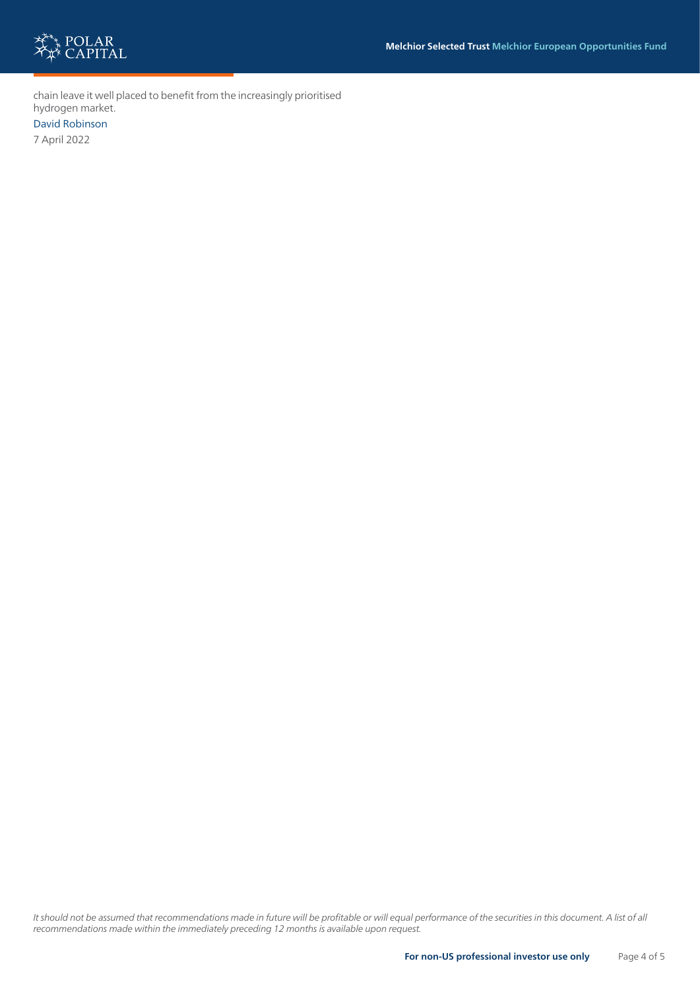

chain leave it well placed to benefit from the increasingly prioritised hydrogen market.

David Robinson

7 April 2022

*It should not be assumed that recommendations made in future will be profitable or will equal performance of the securities in this document. A list of all recommendations made within the immediately preceding 12 months is available upon request.*